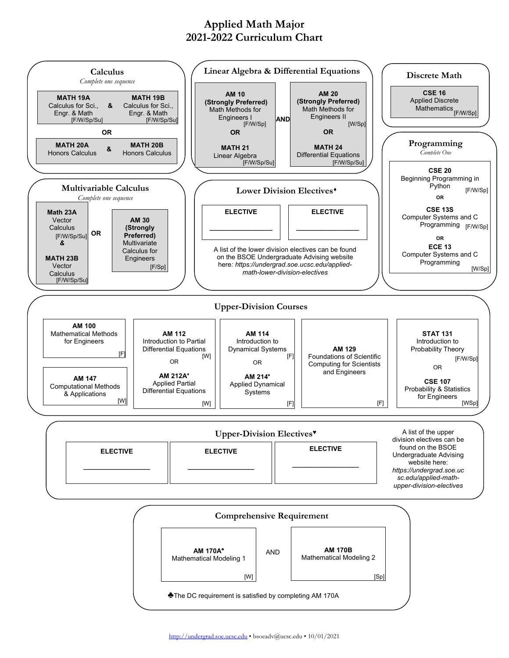## **Applied Math Major 2021-2022 Curriculum Chart**